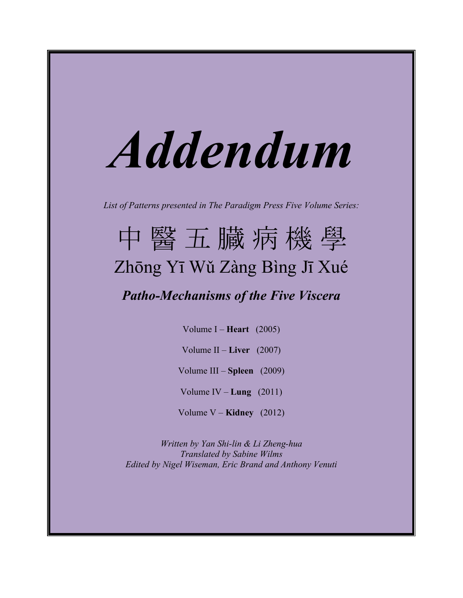# *Addendum*

*List of Patterns presented in The Paradigm Press Five Volume Series:*

# 中 醫 五 臓 病 機 學 Zhōng Yī Wǔ Zàng Bìng Jī Xué

# *Patho-Mechanisms of the Five Viscera*

Volume I – **Heart** (2005)

Volume II – **Liver** (2007)

Volume III – **Spleen** (2009)

Volume IV – **Lung** (2011)

Volume V – **Kidney** (2012)

*Written by Yan Shi-lin & Li Zheng-hua Translated by Sabine Wilms Edited by Nigel Wiseman, Eric Brand and Anthony Venuti*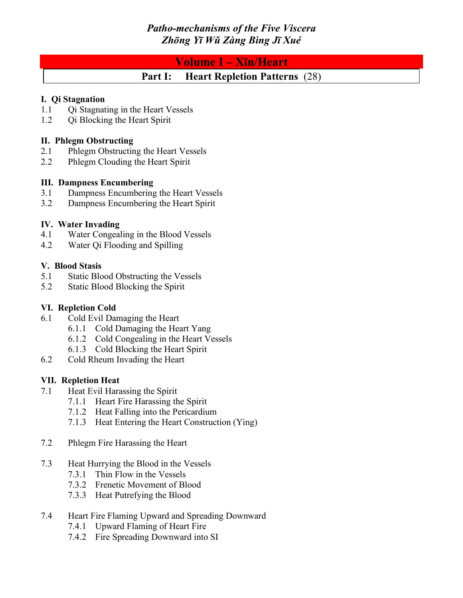# **Volume I – Xīn/Heart**

# **Part I: Heart Repletion Patterns** (28)

#### **I. Qi Stagnation**

- 1.1 Qi Stagnating in the Heart Vessels
- 1.2 Qi Blocking the Heart Spirit

# **II. Phlegm Obstructing**

- 2.1 Phlegm Obstructing the Heart Vessels
- 2.2 Phlegm Clouding the Heart Spirit

# **III. Dampness Encumbering**

- 3.1 Dampness Encumbering the Heart Vessels
- 3.2 Dampness Encumbering the Heart Spirit

# **IV. Water Invading**

- 4.1 Water Congealing in the Blood Vessels
- 4.2 Water Qi Flooding and Spilling

# **V. Blood Stasis**

- 5.1 Static Blood Obstructing the Vessels
- 5.2 Static Blood Blocking the Spirit

# **VI. Repletion Cold**

- 6.1 Cold Evil Damaging the Heart
	- 6.1.1 Cold Damaging the Heart Yang
	- 6.1.2 Cold Congealing in the Heart Vessels
	- 6.1.3 Cold Blocking the Heart Spirit
- 6.2 Cold Rheum Invading the Heart

# **VII. Repletion Heat**

- 7.1 Heat Evil Harassing the Spirit
	- 7.1.1 Heart Fire Harassing the Spirit
	- 7.1.2 Heat Falling into the Pericardium
	- 7.1.3 Heat Entering the Heart Construction (Ying)
- 7.2 Phlegm Fire Harassing the Heart
- 7.3 Heat Hurrying the Blood in the Vessels
	- 7.3.1 Thin Flow in the Vessels
	- 7.3.2 Frenetic Movement of Blood
	- 7.3.3 Heat Putrefying the Blood

# 7.4 Heart Fire Flaming Upward and Spreading Downward

- 7.4.1 Upward Flaming of Heart Fire
- 7.4.2 Fire Spreading Downward into SI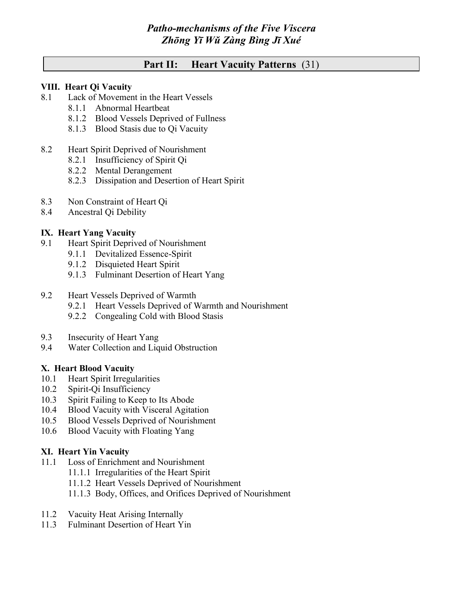# **Part II: Heart Vacuity Patterns** (31)

#### **VIII. Heart Qi Vacuity**

- 8.1 Lack of Movement in the Heart Vessels
	- 8.1.1 Abnormal Heartbeat
	- 8.1.2 Blood Vessels Deprived of Fullness
	- 8.1.3 Blood Stasis due to Qi Vacuity
- 8.2 Heart Spirit Deprived of Nourishment
	- 8.2.1 Insufficiency of Spirit Qi
	- 8.2.2 Mental Derangement
	- 8.2.3 Dissipation and Desertion of Heart Spirit
- 8.3 Non Constraint of Heart Qi
- 8.4 Ancestral Qi Debility

# **IX. Heart Yang Vacuity**

- 9.1 Heart Spirit Deprived of Nourishment
	- 9.1.1 Devitalized Essence-Spirit
	- 9.1.2 Disquieted Heart Spirit
	- 9.1.3 Fulminant Desertion of Heart Yang
- 9.2 Heart Vessels Deprived of Warmth
	- 9.2.1 Heart Vessels Deprived of Warmth and Nourishment
	- 9.2.2 Congealing Cold with Blood Stasis
- 9.3 Insecurity of Heart Yang
- 9.4 Water Collection and Liquid Obstruction

# **X. Heart Blood Vacuity**

- 10.1 Heart Spirit Irregularities
- 10.2 Spirit-Qi Insufficiency
- 10.3 Spirit Failing to Keep to Its Abode
- 10.4 Blood Vacuity with Visceral Agitation
- 10.5 Blood Vessels Deprived of Nourishment
- 10.6 Blood Vacuity with Floating Yang

# **XI. Heart Yin Vacuity**

- 11.1 Loss of Enrichment and Nourishment
	- 11.1.1 Irregularities of the Heart Spirit
	- 11.1.2 Heart Vessels Deprived of Nourishment
	- 11.1.3 Body, Offices, and Orifices Deprived of Nourishment
- 11.2 Vacuity Heat Arising Internally
- 11.3 Fulminant Desertion of Heart Yin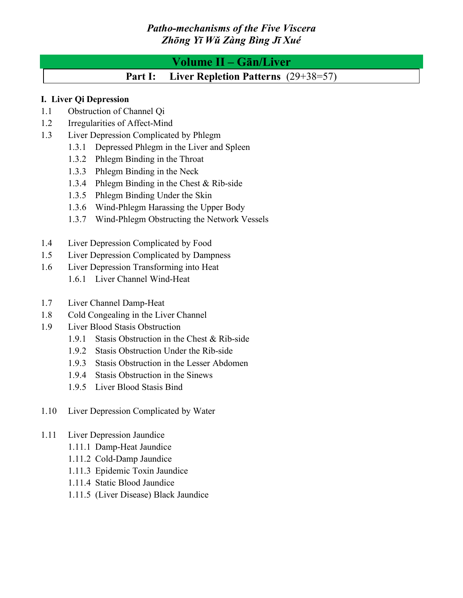# **Volume II – Gān/Liver**

**Part I: Liver Repletion Patterns** (29+38=57)

# **I. Liver Qi Depression**

- 1.1 Obstruction of Channel Qi
- 1.2 Irregularities of Affect-Mind
- 1.3 Liver Depression Complicated by Phlegm
	- 1.3.1 Depressed Phlegm in the Liver and Spleen
	- 1.3.2 Phlegm Binding in the Throat
	- 1.3.3 Phlegm Binding in the Neck
	- 1.3.4 Phlegm Binding in the Chest & Rib-side
	- 1.3.5 Phlegm Binding Under the Skin
	- 1.3.6 Wind-Phlegm Harassing the Upper Body
	- 1.3.7 Wind-Phlegm Obstructing the Network Vessels
- 1.4 Liver Depression Complicated by Food
- 1.5 Liver Depression Complicated by Dampness
- 1.6 Liver Depression Transforming into Heat
	- 1.6.1 Liver Channel Wind-Heat
- 1.7 Liver Channel Damp-Heat
- 1.8 Cold Congealing in the Liver Channel
- 1.9 Liver Blood Stasis Obstruction
	- 1.9.1 Stasis Obstruction in the Chest & Rib-side
	- 1.9.2 Stasis Obstruction Under the Rib-side
	- 1.9.3 Stasis Obstruction in the Lesser Abdomen
	- 1.9.4 Stasis Obstruction in the Sinews
	- 1.9.5 Liver Blood Stasis Bind
- 1.10 Liver Depression Complicated by Water

# 1.11 Liver Depression Jaundice

- 1.11.1 Damp-Heat Jaundice
- 1.11.2 Cold-Damp Jaundice
- 1.11.3 Epidemic Toxin Jaundice
- 1.11.4 Static Blood Jaundice
- 1.11.5 (Liver Disease) Black Jaundice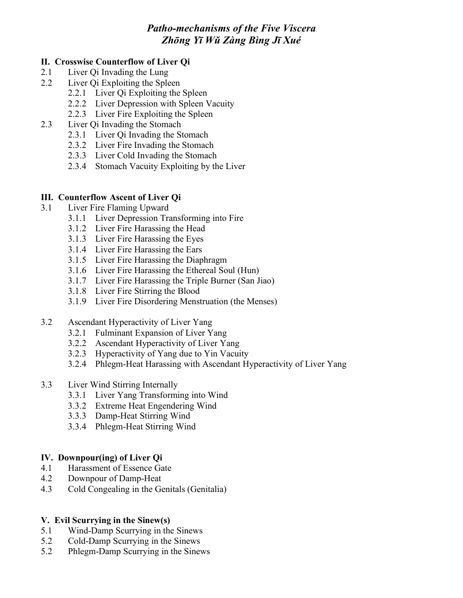#### **II. Crosswise Counterflow of Liver Qi**

- 2.1 Liver Qi Invading the Lung
- 2.2 Liver Qi Exploiting the Spleen
	- 2.2.1 Liver Qi Exploiting the Spleen
	- 2.2.2 Liver Depression with Spleen Vacuity
	- 2.2.3 Liver Fire Exploiting the Spleen
- 2.3 Liver Qi Invading the Stomach
	- 2.3.1 Liver Qi Invading the Stomach
	- 2.3.2 Liver Fire Invading the Stomach
	- 2.3.3 Liver Cold Invading the Stomach
	- 2.3.4 Stomach Vacuity Exploiting by the Liver

# **III. Counterflow Ascent of Liver Qi**

- 3.1 Liver Fire Flaming Upward
	- 3.1.1 Liver Depression Transforming into Fire
		- 3.1.2 Liver Fire Harassing the Head
		- 3.1.3 Liver Fire Harassing the Eyes
		- 3.1.4 Liver Fire Harassing the Ears
		- 3.1.5 Liver Fire Harassing the Diaphragm
		- 3.1.6 Liver Fire Harassing the Ethereal Soul (Hun)
		- 3.1.7 Liver Fire Harassing the Triple Burner (San Jiao)
		- 3.1.8 Liver Fire Stirring the Blood
		- 3.1.9 Liver Fire Disordering Menstruation (the Menses)
- 3.2 Ascendant Hyperactivity of Liver Yang
	- 3.2.1 Fulminant Expansion of Liver Yang
	- 3.2.2 Ascendant Hyperactivity of Liver Yang
	- 3.2.3 Hyperactivity of Yang due to Yin Vacuity
	- 3.2.4 Phlegm-Heat Harassing with Ascendant Hyperactivity of Liver Yang

#### 3.3 Liver Wind Stirring Internally

- 3.3.1 Liver Yang Transforming into Wind
- 3.3.2 Extreme Heat Engendering Wind
- 3.3.3 Damp-Heat Stirring Wind
- 3.3.4 Phlegm-Heat Stirring Wind

# **IV. Downpour(ing) of Liver Qi**

- 4.1 Harassment of Essence Gate
- 4.2 Downpour of Damp-Heat
- 4.3 Cold Congealing in the Genitals (Genitalia)

#### **V. Evil Scurrying in the Sinew(s)**

- 5.1 Wind-Damp Scurrying in the Sinews
- 5.2 Cold-Damp Scurrying in the Sinews
- 5.2 Phlegm-Damp Scurrying in the Sinews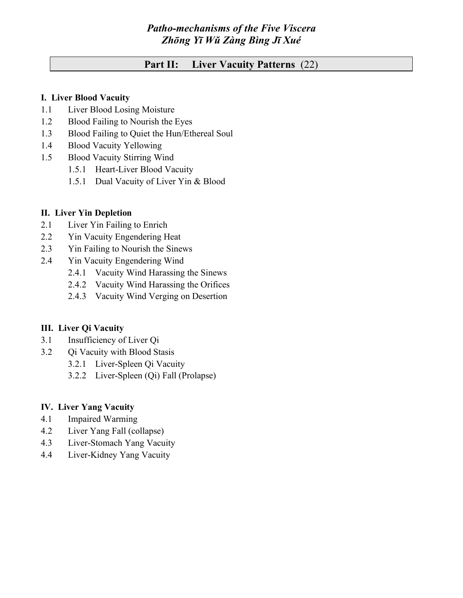# **Part II: Liver Vacuity Patterns** (22)

#### **I. Liver Blood Vacuity**

- 1.1 Liver Blood Losing Moisture
- 1.2 Blood Failing to Nourish the Eyes
- 1.3 Blood Failing to Quiet the Hun/Ethereal Soul
- 1.4 Blood Vacuity Yellowing
- 1.5 Blood Vacuity Stirring Wind
	- 1.5.1 Heart-Liver Blood Vacuity
	- 1.5.1 Dual Vacuity of Liver Yin & Blood

#### **II. Liver Yin Depletion**

- 2.1 Liver Yin Failing to Enrich
- 2.2 Yin Vacuity Engendering Heat
- 2.3 Yin Failing to Nourish the Sinews
- 2.4 Yin Vacuity Engendering Wind
	- 2.4.1 Vacuity Wind Harassing the Sinews
	- 2.4.2 Vacuity Wind Harassing the Orifices
	- 2.4.3 Vacuity Wind Verging on Desertion

#### **III. Liver Qi Vacuity**

- 3.1 Insufficiency of Liver Qi
- 3.2 Qi Vacuity with Blood Stasis
	- 3.2.1 Liver-Spleen Qi Vacuity
		- 3.2.2 Liver-Spleen (Qi) Fall (Prolapse)

#### **IV. Liver Yang Vacuity**

- 4.1 Impaired Warming
- 4.2 Liver Yang Fall (collapse)
- 4.3 Liver-Stomach Yang Vacuity
- 4.4 Liver-Kidney Yang Vacuity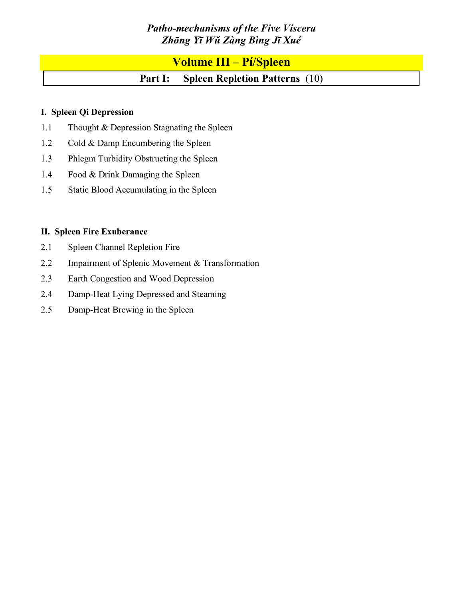# **Volume III – Pí/Spleen**

# **Part I: Spleen Repletion Patterns** (10)

# **I. Spleen Qi Depression**

- 1.1 Thought & Depression Stagnating the Spleen
- 1.2 Cold & Damp Encumbering the Spleen
- 1.3 Phlegm Turbidity Obstructing the Spleen
- 1.4 Food & Drink Damaging the Spleen
- 1.5 Static Blood Accumulating in the Spleen

# **II. Spleen Fire Exuberance**

- 2.1 Spleen Channel Repletion Fire
- 2.2 Impairment of Splenic Movement & Transformation
- 2.3 Earth Congestion and Wood Depression
- 2.4 Damp-Heat Lying Depressed and Steaming
- 2.5 Damp-Heat Brewing in the Spleen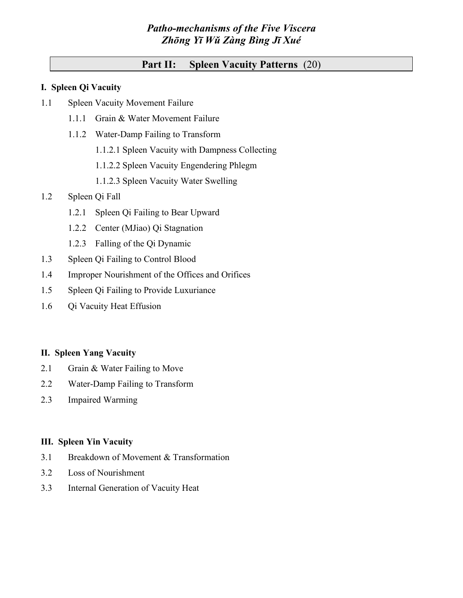# **Part II: Spleen Vacuity Patterns** (20)

#### **I. Spleen Qi Vacuity**

- 1.1 Spleen Vacuity Movement Failure
	- 1.1.1 Grain & Water Movement Failure
	- 1.1.2 Water-Damp Failing to Transform
		- 1.1.2.1 Spleen Vacuity with Dampness Collecting
		- 1.1.2.2 Spleen Vacuity Engendering Phlegm
		- 1.1.2.3 Spleen Vacuity Water Swelling

# 1.2 Spleen Qi Fall

- 1.2.1 Spleen Qi Failing to Bear Upward
- 1.2.2 Center (MJiao) Qi Stagnation
- 1.2.3 Falling of the Qi Dynamic
- 1.3 Spleen Qi Failing to Control Blood
- 1.4 Improper Nourishment of the Offices and Orifices
- 1.5 Spleen Qi Failing to Provide Luxuriance
- 1.6 Qi Vacuity Heat Effusion

# **II. Spleen Yang Vacuity**

- 2.1 Grain & Water Failing to Move
- 2.2 Water-Damp Failing to Transform
- 2.3 Impaired Warming

# **III. Spleen Yin Vacuity**

- 3.1 Breakdown of Movement & Transformation
- 3.2 Loss of Nourishment
- 3.3 Internal Generation of Vacuity Heat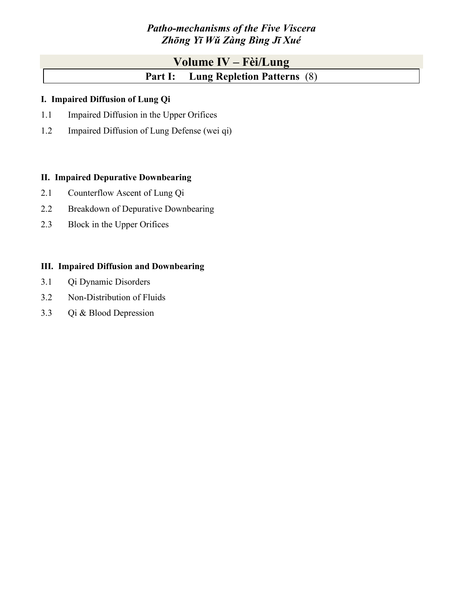# **Volume IV – Fèi/Lung Part I: Lung Repletion Patterns** (8)

# **I. Impaired Diffusion of Lung Qi**

- 1.1 Impaired Diffusion in the Upper Orifices
- 1.2 Impaired Diffusion of Lung Defense (wei qi)

# **II. Impaired Depurative Downbearing**

- 2.1 Counterflow Ascent of Lung Qi
- 2.2 Breakdown of Depurative Downbearing
- 2.3 Block in the Upper Orifices

# **III. Impaired Diffusion and Downbearing**

- 3.1 Qi Dynamic Disorders
- 3.2 Non-Distribution of Fluids
- 3.3 Qi & Blood Depression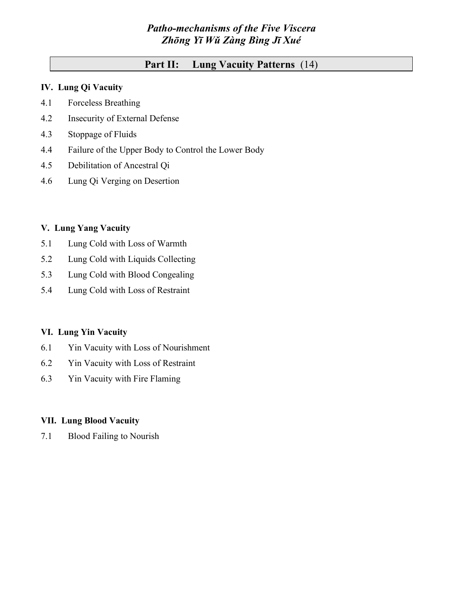# **Part II: Lung Vacuity Patterns** (14)

# **IV. Lung Qi Vacuity**

- 4.1 Forceless Breathing
- 4.2 Insecurity of External Defense
- 4.3 Stoppage of Fluids
- 4.4 Failure of the Upper Body to Control the Lower Body
- 4.5 Debilitation of Ancestral Qi
- 4.6 Lung Qi Verging on Desertion

#### **V. Lung Yang Vacuity**

- 5.1 Lung Cold with Loss of Warmth
- 5.2 Lung Cold with Liquids Collecting
- 5.3 Lung Cold with Blood Congealing
- 5.4 Lung Cold with Loss of Restraint

#### **VI. Lung Yin Vacuity**

- 6.1 Yin Vacuity with Loss of Nourishment
- 6.2 Yin Vacuity with Loss of Restraint
- 6.3 Yin Vacuity with Fire Flaming

#### **VII. Lung Blood Vacuity**

7.1 Blood Failing to Nourish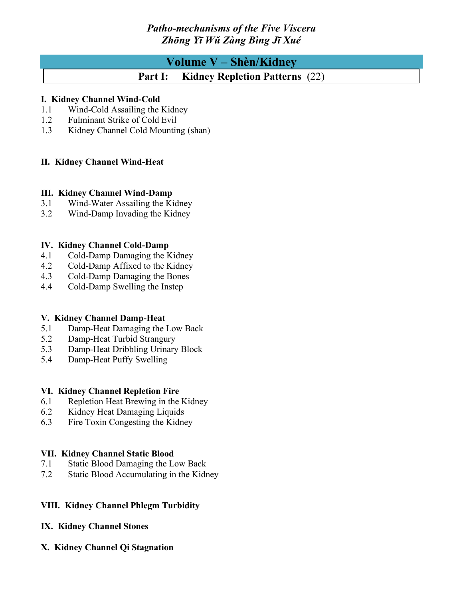# **Volume V – Shèn/Kidney**

# **Part I: Kidney Repletion Patterns** (22)

# **I. Kidney Channel Wind-Cold**

- 1.1 Wind-Cold Assailing the Kidney
- 1.2 Fulminant Strike of Cold Evil
- 1.3 Kidney Channel Cold Mounting (shan)

# **II. Kidney Channel Wind-Heat**

# **III. Kidney Channel Wind-Damp**

- 3.1 Wind-Water Assailing the Kidney
- 3.2 Wind-Damp Invading the Kidney

# **IV. Kidney Channel Cold-Damp**

- 4.1 Cold-Damp Damaging the Kidney
- 4.2 Cold-Damp Affixed to the Kidney
- 4.3 Cold-Damp Damaging the Bones
- 4.4 Cold-Damp Swelling the Instep

# **V. Kidney Channel Damp-Heat**

- 5.1 Damp-Heat Damaging the Low Back
- 5.2 Damp-Heat Turbid Strangury
- 5.3 Damp-Heat Dribbling Urinary Block
- 5.4 Damp-Heat Puffy Swelling

#### **VI. Kidney Channel Repletion Fire**

- 6.1 Repletion Heat Brewing in the Kidney
- 6.2 Kidney Heat Damaging Liquids
- 6.3 Fire Toxin Congesting the Kidney

# **VII. Kidney Channel Static Blood**

- 7.1 Static Blood Damaging the Low Back
- 7.2 Static Blood Accumulating in the Kidney

# **VIII. Kidney Channel Phlegm Turbidity**

#### **IX. Kidney Channel Stones**

**X. Kidney Channel Qi Stagnation**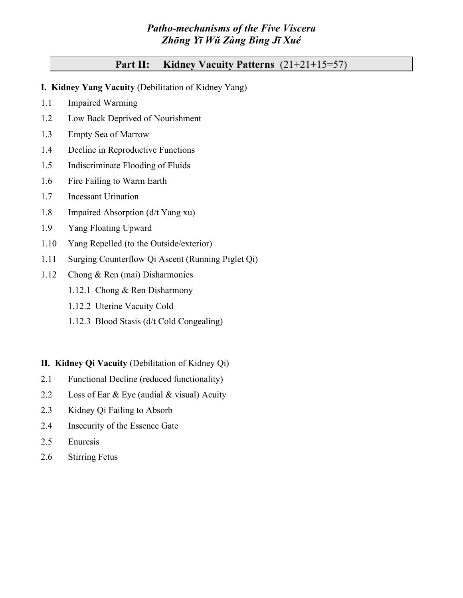# **Part II: Kidney Vacuity Patterns** (21+21+15=57)

- **I. Kidney Yang Vacuity** (Debilitation of Kidney Yang)
- 1.1 Impaired Warming
- 1.2 Low Back Deprived of Nourishment
- 1.3 Empty Sea of Marrow
- 1.4 Decline in Reproductive Functions
- 1.5 Indiscriminate Flooding of Fluids
- 1.6 Fire Failing to Warm Earth
- 1.7 Incessant Urination
- 1.8 Impaired Absorption (d/t Yang xu)
- 1.9 Yang Floating Upward
- 1.10 Yang Repelled (to the Outside/exterior)
- 1.11 Surging Counterflow Qi Ascent (Running Piglet Qi)
- 1.12 Chong & Ren (mai) Disharmonies
	- 1.12.1 Chong & Ren Disharmony
	- 1.12.2 Uterine Vacuity Cold
	- 1.12.3 Blood Stasis (d/t Cold Congealing)
- **II. Kidney Qi Vacuity** (Debilitation of Kidney Qi)
- 2.1 Functional Decline (reduced functionality)
- 2.2 Loss of Ear & Eye (audial & visual) Acuity
- 2.3 Kidney Qi Failing to Absorb
- 2.4 Insecurity of the Essence Gate
- 2.5 Enuresis
- 2.6 Stirring Fetus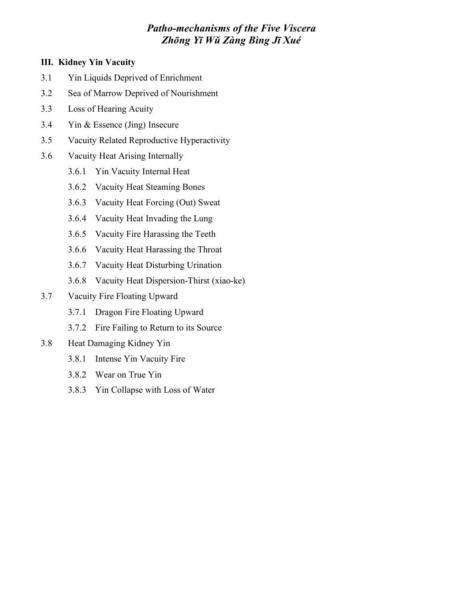# **III. Kidney Yin Vacuity**

- 3.1 Yin Liquids Deprived of Enrichment
- 3.2 Sea of Marrow Deprived of Nourishment
- 3.3 Loss of Hearing Acuity
- 3.4 Yin & Essence (Jing) Insecure
- 3.5 Vacuity Related Reproductive Hyperactivity
- 3.6 Vacuity Heat Arising Internally
	- 3.6.1 Yin Vacuity Internal Heat
	- 3.6.2 Vacuity Heat Steaming Bones
	- 3.6.3 Vacuity Heat Forcing (Out) Sweat
	- 3.6.4 Vacuity Heat Invading the Lung
	- 3.6.5 Vacuity Fire Harassing the Teeth
	- 3.6.6 Vacuity Heat Harassing the Throat
	- 3.6.7 Vacuity Heat Disturbing Urination
	- 3.6.8 Vacuity Heat Dispersion-Thirst (xiao-ke)
- 3.7 Vacuity Fire Floating Upward
	- 3.7.1 Dragon Fire Floating Upward
	- 3.7.2 Fire Failing to Return to its Source
- 3.8 Heat Damaging Kidney Yin
	- 3.8.1 Intense Yin Vacuity Fire
	- 3.8.2 Wear on True Yin
	- 3.8.3 Yin Collapse with Loss of Water